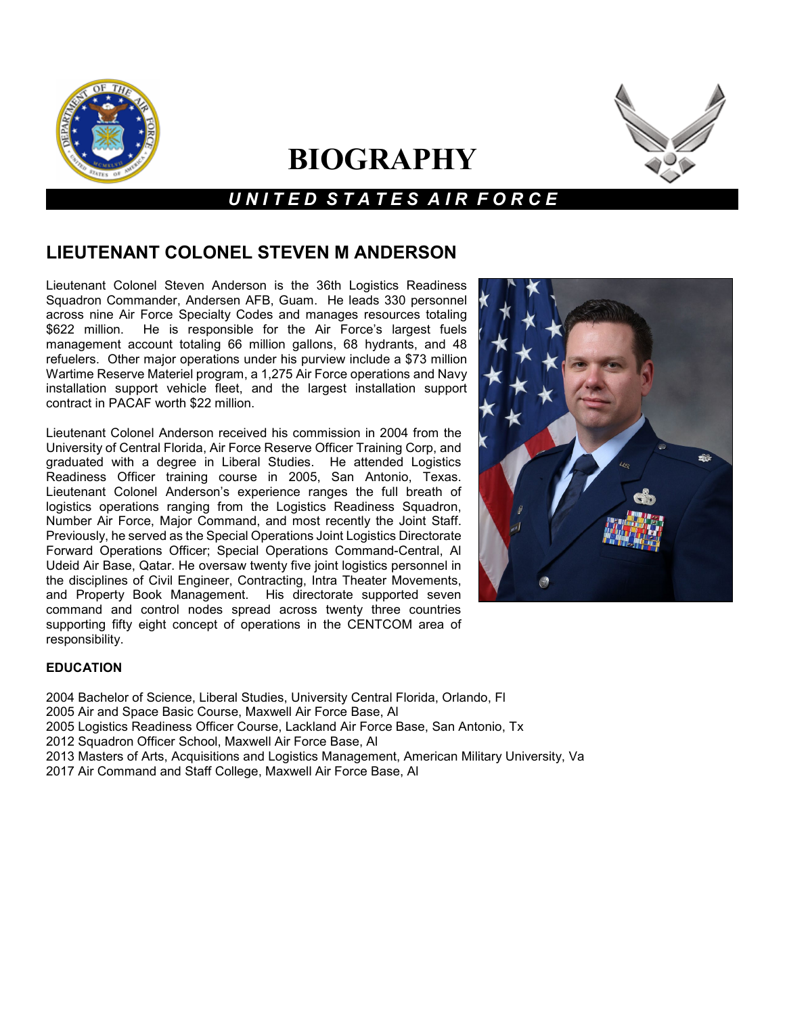

# **BIOGRAPHY**



## *U N I T E D S T A T E S A I R F O R C E*

### **LIEUTENANT COLONEL STEVEN M ANDERSON**

Lieutenant Colonel Steven Anderson is the 36th Logistics Readiness Squadron Commander, Andersen AFB, Guam. He leads 330 personnel across nine Air Force Specialty Codes and manages resources totaling \$622 million. He is responsible for the Air Force's largest fuels He is responsible for the Air Force's largest fuels management account totaling 66 million gallons, 68 hydrants, and 48 refuelers. Other major operations under his purview include a \$73 million Wartime Reserve Materiel program, a 1,275 Air Force operations and Navy installation support vehicle fleet, and the largest installation support contract in PACAF worth \$22 million.

Lieutenant Colonel Anderson received his commission in 2004 from the University of Central Florida, Air Force Reserve Officer Training Corp, and graduated with a degree in Liberal Studies. He attended Logistics Readiness Officer training course in 2005, San Antonio, Texas. Lieutenant Colonel Anderson's experience ranges the full breath of logistics operations ranging from the Logistics Readiness Squadron, Number Air Force, Major Command, and most recently the Joint Staff. Previously, he served as the Special Operations Joint Logistics Directorate Forward Operations Officer; Special Operations Command-Central, Al Udeid Air Base, Qatar. He oversaw twenty five joint logistics personnel in the disciplines of Civil Engineer, Contracting, Intra Theater Movements, and Property Book Management. His directorate supported seven command and control nodes spread across twenty three countries supporting fifty eight concept of operations in the CENTCOM area of responsibility.



#### **EDUCATION**

2004 Bachelor of Science, Liberal Studies, University Central Florida, Orlando, Fl 2005 Air and Space Basic Course, Maxwell Air Force Base, Al 2005 Logistics Readiness Officer Course, Lackland Air Force Base, San Antonio, Tx 2012 Squadron Officer School, Maxwell Air Force Base, Al 2013 Masters of Arts, Acquisitions and Logistics Management, American Military University, Va 2017 Air Command and Staff College, Maxwell Air Force Base, Al